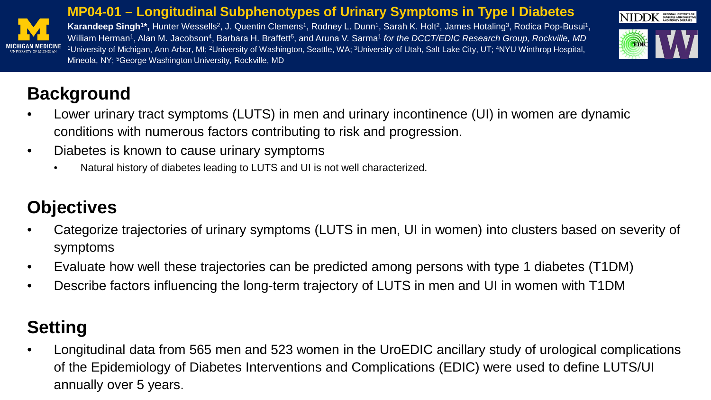

#### **MP04-01 – Longitudinal Subphenotypes of Urinary Symptoms in Type I Diabetes**

Karandeep Singh<sup>1\*</sup>, Hunter Wessells<sup>2</sup>, J. Quentin Clemens<sup>1</sup>, Rodney L. Dunn<sup>1</sup>, Sarah K. Holt<sup>2</sup>, James Hotaling<sup>3</sup>, Rodica Pop-Busui<sup>1</sup>, William Herman<sup>1</sup>, Alan M. Jacobson<sup>4</sup>, Barbara H. Braffett<sup>5</sup>, and Aruna V. Sarma<sup>1</sup> for the DCCT/EDIC Research Group, Rockville, MD <sup>1</sup>University of Michigan, Ann Arbor, MI; <sup>2</sup>University of Washington, Seattle, WA; <sup>3</sup>University of Utah, Salt Lake City, UT; <sup>4</sup>NYU Winthrop Hospital, Mineola, NY; 5George Washington University, Rockville, MD



### **Background**

- Lower urinary tract symptoms (LUTS) in men and urinary incontinence (UI) in women are dynamic conditions with numerous factors contributing to risk and progression.
- Diabetes is known to cause urinary symptoms
	- Natural history of diabetes leading to LUTS and UI is not well characterized.

# **Objectives**

- Categorize trajectories of urinary symptoms (LUTS in men, UI in women) into clusters based on severity of symptoms
- Evaluate how well these trajectories can be predicted among persons with type 1 diabetes (T1DM)
- Describe factors influencing the long-term trajectory of LUTS in men and UI in women with T1DM

## **Setting**

• Longitudinal data from 565 men and 523 women in the UroEDIC ancillary study of urological complications of the Epidemiology of Diabetes Interventions and Complications (EDIC) were used to define LUTS/UI annually over 5 years.